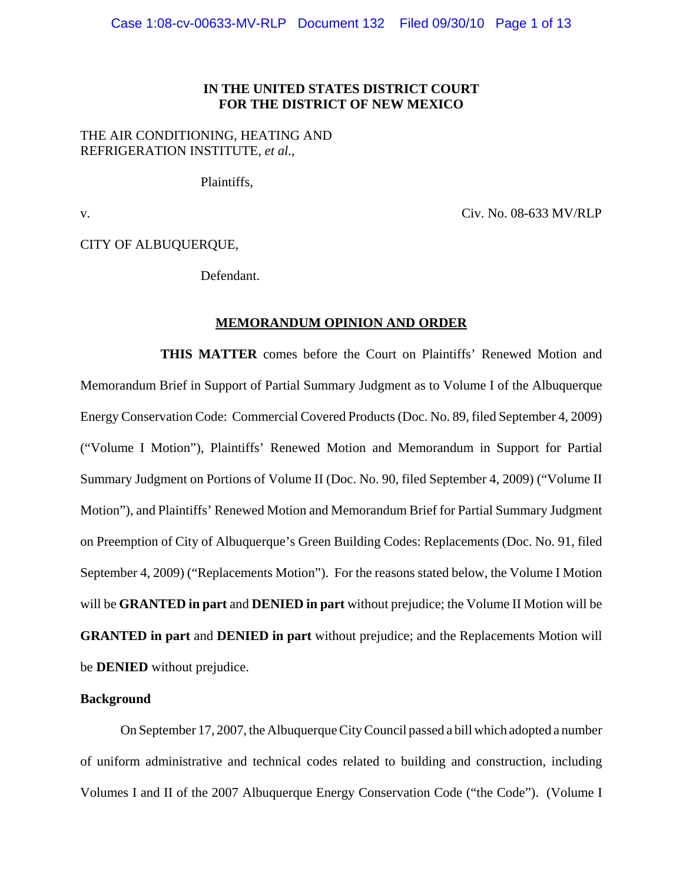## **IN THE UNITED STATES DISTRICT COURT FOR THE DISTRICT OF NEW MEXICO**

# THE AIR CONDITIONING, HEATING AND REFRIGERATION INSTITUTE, *et al.,*

Plaintiffs,

v. Civ. No. 08-633 MV/RLP

CITY OF ALBUQUERQUE,

Defendant.

## **MEMORANDUM OPINION AND ORDER**

**THIS MATTER** comes before the Court on Plaintiffs' Renewed Motion and Memorandum Brief in Support of Partial Summary Judgment as to Volume I of the Albuquerque Energy Conservation Code: Commercial Covered Products (Doc. No. 89, filed September 4, 2009) ("Volume I Motion"), Plaintiffs' Renewed Motion and Memorandum in Support for Partial Summary Judgment on Portions of Volume II (Doc. No. 90, filed September 4, 2009) ("Volume II Motion"), and Plaintiffs' Renewed Motion and Memorandum Brief for Partial Summary Judgment on Preemption of City of Albuquerque's Green Building Codes: Replacements (Doc. No. 91, filed September 4, 2009) ("Replacements Motion"). For the reasons stated below, the Volume I Motion will be **GRANTED in part** and **DENIED in part** without prejudice; the Volume II Motion will be **GRANTED in part** and **DENIED in part** without prejudice; and the Replacements Motion will be **DENIED** without prejudice.

## **Background**

On September 17, 2007, the Albuquerque City Council passed a bill which adopted a number of uniform administrative and technical codes related to building and construction, including Volumes I and II of the 2007 Albuquerque Energy Conservation Code ("the Code"). (Volume I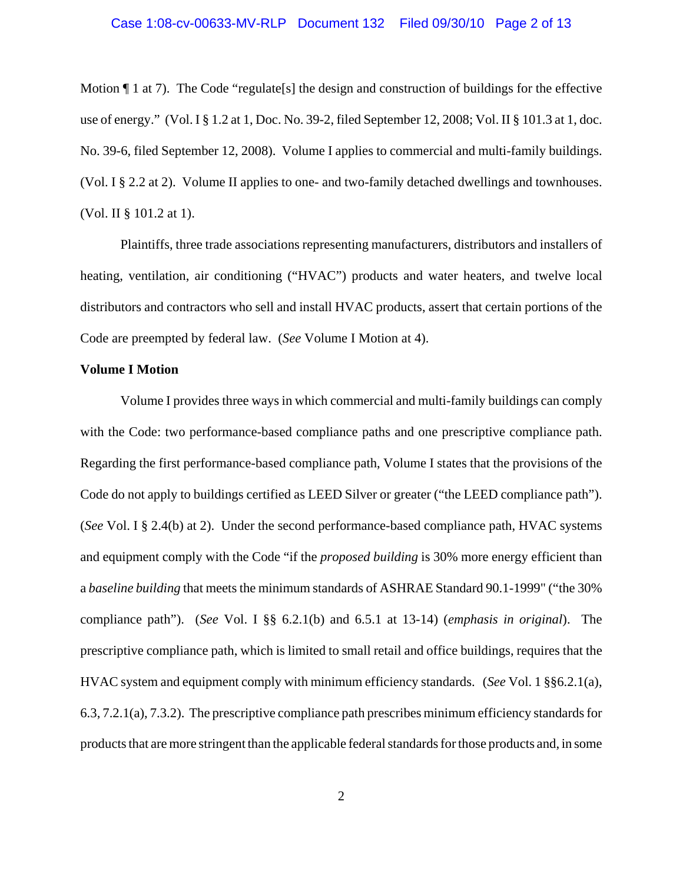Motion  $\P$  1 at 7). The Code "regulate [s] the design and construction of buildings for the effective use of energy." (Vol. I § 1.2 at 1, Doc. No. 39-2, filed September 12, 2008; Vol. II § 101.3 at 1, doc. No. 39-6, filed September 12, 2008). Volume I applies to commercial and multi-family buildings. (Vol. I § 2.2 at 2). Volume II applies to one- and two-family detached dwellings and townhouses. (Vol. II § 101.2 at 1).

Plaintiffs, three trade associations representing manufacturers, distributors and installers of heating, ventilation, air conditioning ("HVAC") products and water heaters, and twelve local distributors and contractors who sell and install HVAC products, assert that certain portions of the Code are preempted by federal law. (*See* Volume I Motion at 4).

## **Volume I Motion**

Volume I provides three ways in which commercial and multi-family buildings can comply with the Code: two performance-based compliance paths and one prescriptive compliance path. Regarding the first performance-based compliance path, Volume I states that the provisions of the Code do not apply to buildings certified as LEED Silver or greater ("the LEED compliance path"). (*See* Vol. I § 2.4(b) at 2). Under the second performance-based compliance path, HVAC systems and equipment comply with the Code "if the *proposed building* is 30% more energy efficient than a *baseline building* that meets the minimum standards of ASHRAE Standard 90.1-1999" ("the 30% compliance path"). (*See* Vol. I §§ 6.2.1(b) and 6.5.1 at 13-14) (*emphasis in original*). The prescriptive compliance path, which is limited to small retail and office buildings, requires that the HVAC system and equipment comply with minimum efficiency standards. (*See* Vol. 1 §§6.2.1(a), 6.3, 7.2.1(a), 7.3.2). The prescriptive compliance path prescribes minimum efficiency standards for products that are more stringent than the applicable federal standards for those products and, in some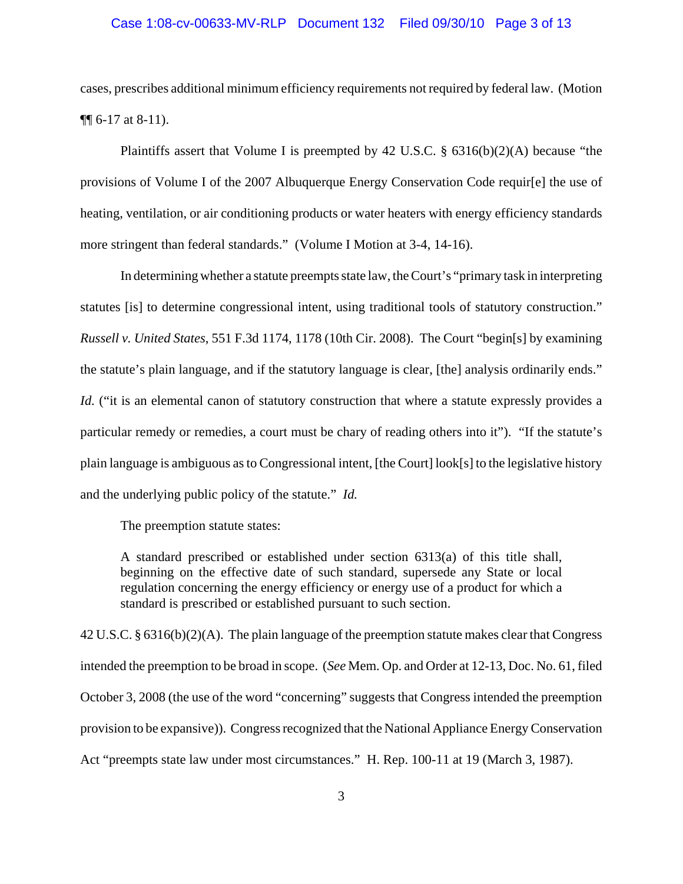## Case 1:08-cv-00633-MV-RLP Document 132 Filed 09/30/10 Page 3 of 13

cases, prescribes additional minimum efficiency requirements not required by federal law. (Motion ¶¶ 6-17 at 8-11).

Plaintiffs assert that Volume I is preempted by 42 U.S.C.  $\S$  6316(b)(2)(A) because "the provisions of Volume I of the 2007 Albuquerque Energy Conservation Code requir[e] the use of heating, ventilation, or air conditioning products or water heaters with energy efficiency standards more stringent than federal standards." (Volume I Motion at 3-4, 14-16).

In determining whether a statute preempts state law, the Court's "primary task in interpreting statutes [is] to determine congressional intent, using traditional tools of statutory construction." *Russell v. United States*, 551 F.3d 1174, 1178 (10th Cir. 2008). The Court "begin[s] by examining the statute's plain language, and if the statutory language is clear, [the] analysis ordinarily ends." *Id.* ("it is an elemental canon of statutory construction that where a statute expressly provides a particular remedy or remedies, a court must be chary of reading others into it"). "If the statute's plain language is ambiguous as to Congressional intent, [the Court] look[s] to the legislative history and the underlying public policy of the statute." *Id.*

The preemption statute states:

A standard prescribed or established under section 6313(a) of this title shall, beginning on the effective date of such standard, supersede any State or local regulation concerning the energy efficiency or energy use of a product for which a standard is prescribed or established pursuant to such section.

42 U.S.C. § 6316(b)(2)(A). The plain language of the preemption statute makes clear that Congress intended the preemption to be broad in scope. (*See* Mem. Op. and Order at 12-13, Doc. No. 61, filed October 3, 2008 (the use of the word "concerning" suggests that Congress intended the preemption provision to be expansive)). Congress recognized that the National Appliance Energy Conservation Act "preempts state law under most circumstances." H. Rep. 100-11 at 19 (March 3, 1987).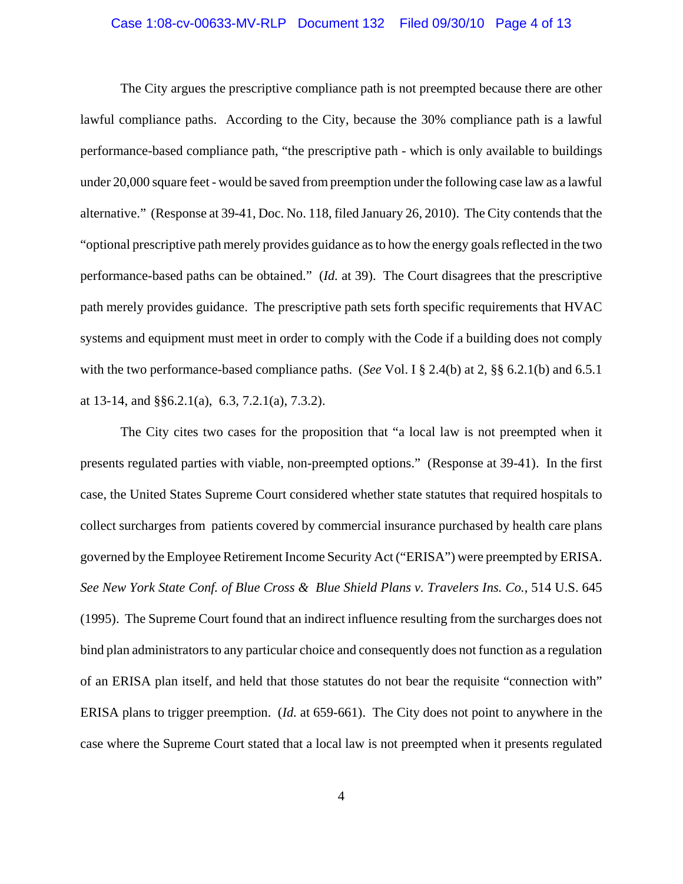## Case 1:08-cv-00633-MV-RLP Document 132 Filed 09/30/10 Page 4 of 13

The City argues the prescriptive compliance path is not preempted because there are other lawful compliance paths. According to the City, because the 30% compliance path is a lawful performance-based compliance path, "the prescriptive path - which is only available to buildings under 20,000 square feet - would be saved from preemption under the following case law as a lawful alternative." (Response at 39-41, Doc. No. 118, filed January 26, 2010). The City contends that the "optional prescriptive path merely provides guidance as to how the energy goals reflected in the two performance-based paths can be obtained." (*Id.* at 39). The Court disagrees that the prescriptive path merely provides guidance. The prescriptive path sets forth specific requirements that HVAC systems and equipment must meet in order to comply with the Code if a building does not comply with the two performance-based compliance paths. (*See* Vol. I § 2.4(b) at 2, §§ 6.2.1(b) and 6.5.1 at 13-14, and §§6.2.1(a), 6.3, 7.2.1(a), 7.3.2).

The City cites two cases for the proposition that "a local law is not preempted when it presents regulated parties with viable, non-preempted options." (Response at 39-41). In the first case, the United States Supreme Court considered whether state statutes that required hospitals to collect surcharges from patients covered by commercial insurance purchased by health care plans governed by the Employee Retirement Income Security Act ("ERISA") were preempted by ERISA. *See New York State Conf. of Blue Cross & Blue Shield Plans v. Travelers Ins. Co.*, 514 U.S. 645 (1995). The Supreme Court found that an indirect influence resulting from the surcharges does not bind plan administrators to any particular choice and consequently does not function as a regulation of an ERISA plan itself, and held that those statutes do not bear the requisite "connection with" ERISA plans to trigger preemption. (*Id.* at 659-661). The City does not point to anywhere in the case where the Supreme Court stated that a local law is not preempted when it presents regulated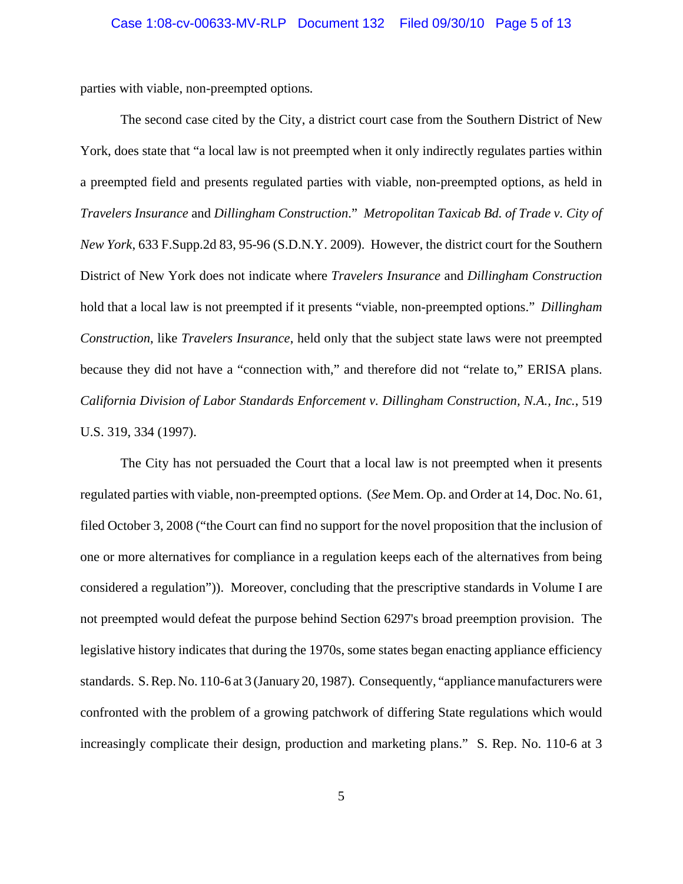parties with viable, non-preempted options*.*

The second case cited by the City, a district court case from the Southern District of New York, does state that "a local law is not preempted when it only indirectly regulates parties within a preempted field and presents regulated parties with viable, non-preempted options, as held in *Travelers Insurance* and *Dillingham Construction*." *Metropolitan Taxicab Bd. of Trade v. City of New York*, 633 F.Supp.2d 83, 95-96 (S.D.N.Y. 2009). However, the district court for the Southern District of New York does not indicate where *Travelers Insurance* and *Dillingham Construction* hold that a local law is not preempted if it presents "viable, non-preempted options." *Dillingham Construction*, like *Travelers Insurance*, held only that the subject state laws were not preempted because they did not have a "connection with," and therefore did not "relate to," ERISA plans. *California Division of Labor Standards Enforcement v. Dillingham Construction, N.A., Inc.*, 519 U.S. 319, 334 (1997).

The City has not persuaded the Court that a local law is not preempted when it presents regulated parties with viable, non-preempted options. (*See* Mem. Op. and Order at 14, Doc. No. 61, filed October 3, 2008 ("the Court can find no support for the novel proposition that the inclusion of one or more alternatives for compliance in a regulation keeps each of the alternatives from being considered a regulation")). Moreover, concluding that the prescriptive standards in Volume I are not preempted would defeat the purpose behind Section 6297's broad preemption provision. The legislative history indicates that during the 1970s, some states began enacting appliance efficiency standards. S. Rep. No. 110-6 at 3 (January 20, 1987). Consequently, "appliance manufacturers were confronted with the problem of a growing patchwork of differing State regulations which would increasingly complicate their design, production and marketing plans." S. Rep. No. 110-6 at 3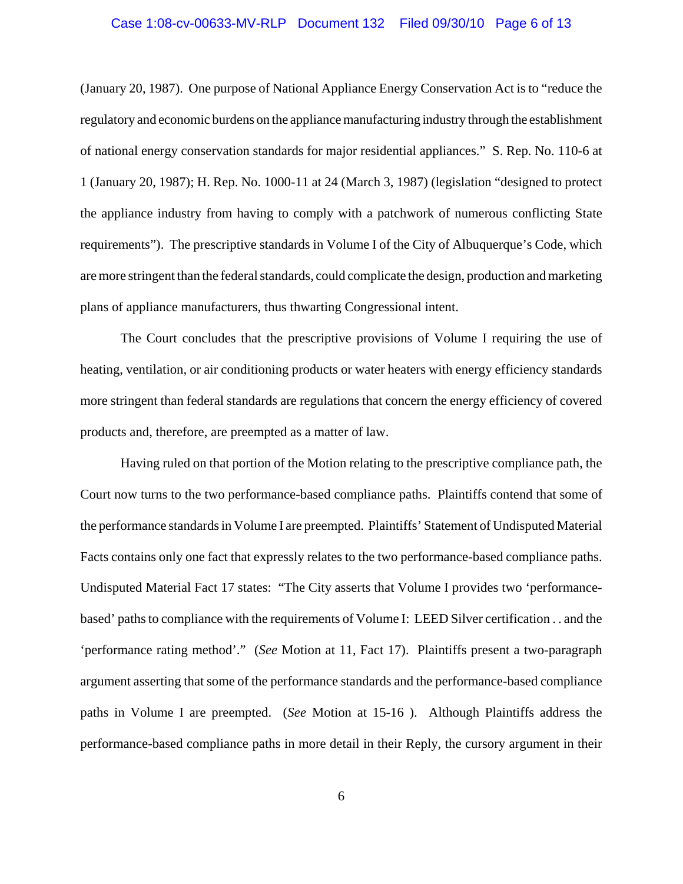## Case 1:08-cv-00633-MV-RLP Document 132 Filed 09/30/10 Page 6 of 13

(January 20, 1987). One purpose of National Appliance Energy Conservation Act is to "reduce the regulatory and economic burdens on the appliance manufacturing industry through the establishment of national energy conservation standards for major residential appliances." S. Rep. No. 110-6 at 1 (January 20, 1987); H. Rep. No. 1000-11 at 24 (March 3, 1987) (legislation "designed to protect the appliance industry from having to comply with a patchwork of numerous conflicting State requirements"). The prescriptive standards in Volume I of the City of Albuquerque's Code, which are more stringent than the federal standards, could complicate the design, production and marketing plans of appliance manufacturers, thus thwarting Congressional intent.

The Court concludes that the prescriptive provisions of Volume I requiring the use of heating, ventilation, or air conditioning products or water heaters with energy efficiency standards more stringent than federal standards are regulations that concern the energy efficiency of covered products and, therefore, are preempted as a matter of law.

Having ruled on that portion of the Motion relating to the prescriptive compliance path, the Court now turns to the two performance-based compliance paths. Plaintiffs contend that some of the performance standards in Volume I are preempted. Plaintiffs' Statement of Undisputed Material Facts contains only one fact that expressly relates to the two performance-based compliance paths. Undisputed Material Fact 17 states: "The City asserts that Volume I provides two 'performancebased' paths to compliance with the requirements of Volume I: LEED Silver certification . . and the 'performance rating method'." (*See* Motion at 11, Fact 17). Plaintiffs present a two-paragraph argument asserting that some of the performance standards and the performance-based compliance paths in Volume I are preempted. (*See* Motion at 15-16 ). Although Plaintiffs address the performance-based compliance paths in more detail in their Reply, the cursory argument in their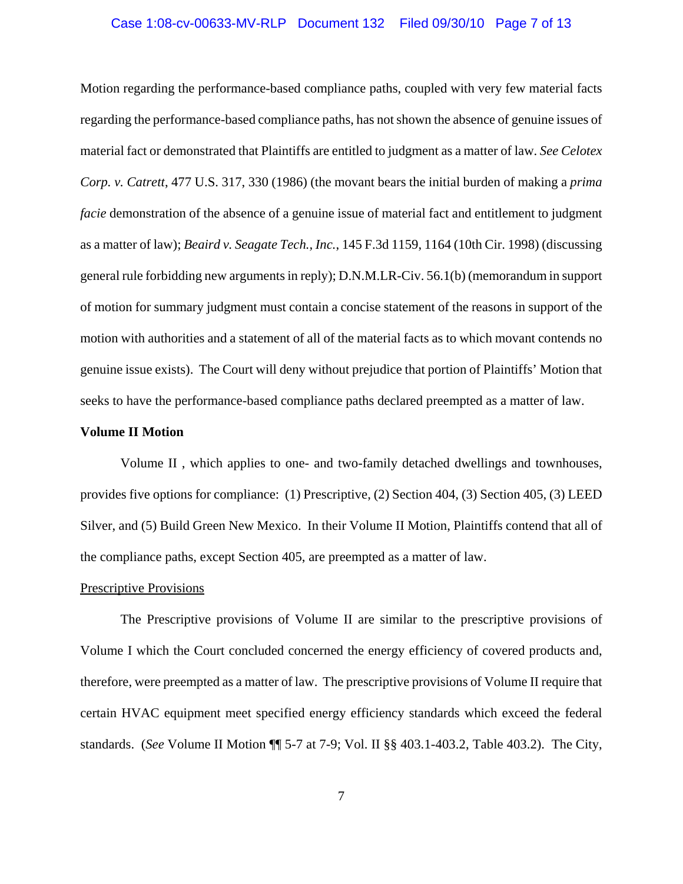## Case 1:08-cv-00633-MV-RLP Document 132 Filed 09/30/10 Page 7 of 13

Motion regarding the performance-based compliance paths, coupled with very few material facts regarding the performance-based compliance paths, has not shown the absence of genuine issues of material fact or demonstrated that Plaintiffs are entitled to judgment as a matter of law. *See Celotex Corp. v. Catrett*, 477 U.S. 317, 330 (1986) (the movant bears the initial burden of making a *prima facie* demonstration of the absence of a genuine issue of material fact and entitlement to judgment as a matter of law); *Beaird v. Seagate Tech., Inc.*, 145 F.3d 1159, 1164 (10th Cir. 1998) (discussing general rule forbidding new arguments in reply); D.N.M.LR-Civ. 56.1(b) (memorandum in support of motion for summary judgment must contain a concise statement of the reasons in support of the motion with authorities and a statement of all of the material facts as to which movant contends no genuine issue exists). The Court will deny without prejudice that portion of Plaintiffs' Motion that seeks to have the performance-based compliance paths declared preempted as a matter of law.

## **Volume II Motion**

Volume II , which applies to one- and two-family detached dwellings and townhouses, provides five options for compliance: (1) Prescriptive, (2) Section 404, (3) Section 405, (3) LEED Silver, and (5) Build Green New Mexico. In their Volume II Motion, Plaintiffs contend that all of the compliance paths, except Section 405, are preempted as a matter of law.

#### Prescriptive Provisions

The Prescriptive provisions of Volume II are similar to the prescriptive provisions of Volume I which the Court concluded concerned the energy efficiency of covered products and, therefore, were preempted as a matter of law. The prescriptive provisions of Volume II require that certain HVAC equipment meet specified energy efficiency standards which exceed the federal standards. (*See* Volume II Motion ¶¶ 5-7 at 7-9; Vol. II §§ 403.1-403.2, Table 403.2). The City,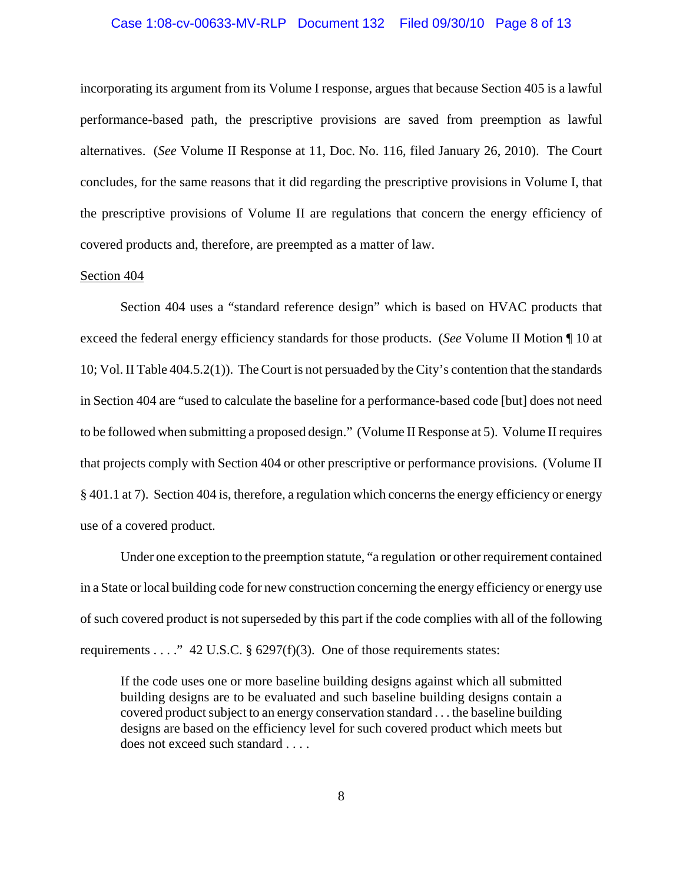## Case 1:08-cv-00633-MV-RLP Document 132 Filed 09/30/10 Page 8 of 13

incorporating its argument from its Volume I response, argues that because Section 405 is a lawful performance-based path, the prescriptive provisions are saved from preemption as lawful alternatives. (*See* Volume II Response at 11, Doc. No. 116, filed January 26, 2010). The Court concludes, for the same reasons that it did regarding the prescriptive provisions in Volume I, that the prescriptive provisions of Volume II are regulations that concern the energy efficiency of covered products and, therefore, are preempted as a matter of law.

## Section 404

Section 404 uses a "standard reference design" which is based on HVAC products that exceed the federal energy efficiency standards for those products. (*See* Volume II Motion ¶ 10 at 10; Vol. II Table 404.5.2(1)). The Court is not persuaded by the City's contention that the standards in Section 404 are "used to calculate the baseline for a performance-based code [but] does not need to be followed when submitting a proposed design." (Volume II Response at 5). Volume II requires that projects comply with Section 404 or other prescriptive or performance provisions. (Volume II § 401.1 at 7). Section 404 is, therefore, a regulation which concerns the energy efficiency or energy use of a covered product.

Under one exception to the preemption statute, "a regulation or other requirement contained in a State or local building code for new construction concerning the energy efficiency or energy use of such covered product is not superseded by this part if the code complies with all of the following requirements . . . ." 42 U.S.C.  $\S$  6297(f)(3). One of those requirements states:

If the code uses one or more baseline building designs against which all submitted building designs are to be evaluated and such baseline building designs contain a covered product subject to an energy conservation standard . . . the baseline building designs are based on the efficiency level for such covered product which meets but does not exceed such standard . . . .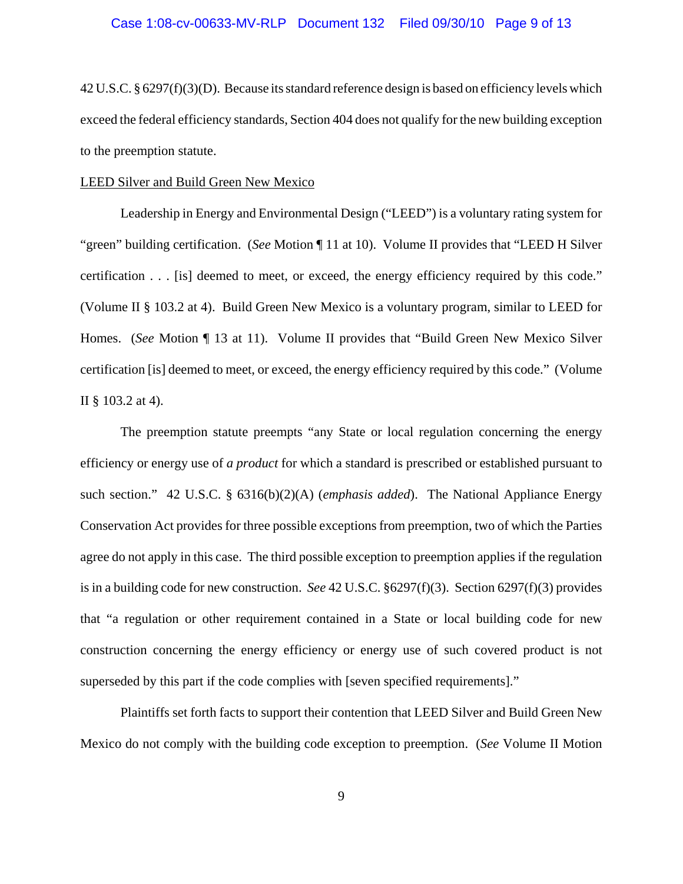42 U.S.C. § 6297(f)(3)(D). Because its standard reference design is based on efficiency levels which exceed the federal efficiency standards, Section 404 does not qualify for the new building exception to the preemption statute.

#### LEED Silver and Build Green New Mexico

Leadership in Energy and Environmental Design ("LEED") is a voluntary rating system for "green" building certification. (*See* Motion ¶ 11 at 10). Volume II provides that "LEED H Silver certification . . . [is] deemed to meet, or exceed, the energy efficiency required by this code." (Volume II § 103.2 at 4). Build Green New Mexico is a voluntary program, similar to LEED for Homes. (*See* Motion ¶ 13 at 11). Volume II provides that "Build Green New Mexico Silver certification [is] deemed to meet, or exceed, the energy efficiency required by this code." (Volume II § 103.2 at 4).

The preemption statute preempts "any State or local regulation concerning the energy efficiency or energy use of *a product* for which a standard is prescribed or established pursuant to such section." 42 U.S.C. § 6316(b)(2)(A) (*emphasis added*). The National Appliance Energy Conservation Act provides for three possible exceptions from preemption, two of which the Parties agree do not apply in this case. The third possible exception to preemption applies if the regulation is in a building code for new construction. *See* 42 U.S.C. §6297(f)(3). Section 6297(f)(3) provides that "a regulation or other requirement contained in a State or local building code for new construction concerning the energy efficiency or energy use of such covered product is not superseded by this part if the code complies with [seven specified requirements]."

Plaintiffs set forth facts to support their contention that LEED Silver and Build Green New Mexico do not comply with the building code exception to preemption. (*See* Volume II Motion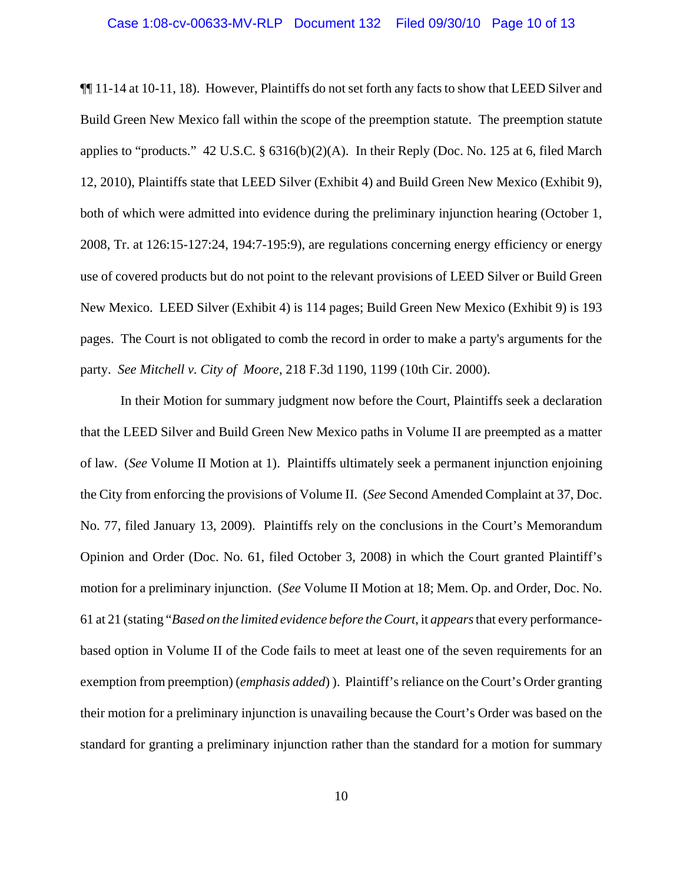## Case 1:08-cv-00633-MV-RLP Document 132 Filed 09/30/10 Page 10 of 13

¶¶ 11-14 at 10-11, 18). However, Plaintiffs do not set forth any facts to show that LEED Silver and Build Green New Mexico fall within the scope of the preemption statute. The preemption statute applies to "products." 42 U.S.C. §  $6316(b)(2)(A)$ . In their Reply (Doc. No. 125 at 6, filed March 12, 2010), Plaintiffs state that LEED Silver (Exhibit 4) and Build Green New Mexico (Exhibit 9), both of which were admitted into evidence during the preliminary injunction hearing (October 1, 2008, Tr. at 126:15-127:24, 194:7-195:9), are regulations concerning energy efficiency or energy use of covered products but do not point to the relevant provisions of LEED Silver or Build Green New Mexico. LEED Silver (Exhibit 4) is 114 pages; Build Green New Mexico (Exhibit 9) is 193 pages. The Court is not obligated to comb the record in order to make a party's arguments for the party. *See Mitchell v. City of Moore*, 218 F.3d 1190, 1199 (10th Cir. 2000).

 In their Motion for summary judgment now before the Court, Plaintiffs seek a declaration that the LEED Silver and Build Green New Mexico paths in Volume II are preempted as a matter of law. (*See* Volume II Motion at 1). Plaintiffs ultimately seek a permanent injunction enjoining the City from enforcing the provisions of Volume II. (*See* Second Amended Complaint at 37, Doc. No. 77, filed January 13, 2009). Plaintiffs rely on the conclusions in the Court's Memorandum Opinion and Order (Doc. No. 61, filed October 3, 2008) in which the Court granted Plaintiff's motion for a preliminary injunction. (*See* Volume II Motion at 18; Mem. Op. and Order, Doc. No. 61 at 21 (stating "*Based on the limited evidence before the Court*, it *appears* that every performancebased option in Volume II of the Code fails to meet at least one of the seven requirements for an exemption from preemption) (*emphasis added*) ). Plaintiff's reliance on the Court's Order granting their motion for a preliminary injunction is unavailing because the Court's Order was based on the standard for granting a preliminary injunction rather than the standard for a motion for summary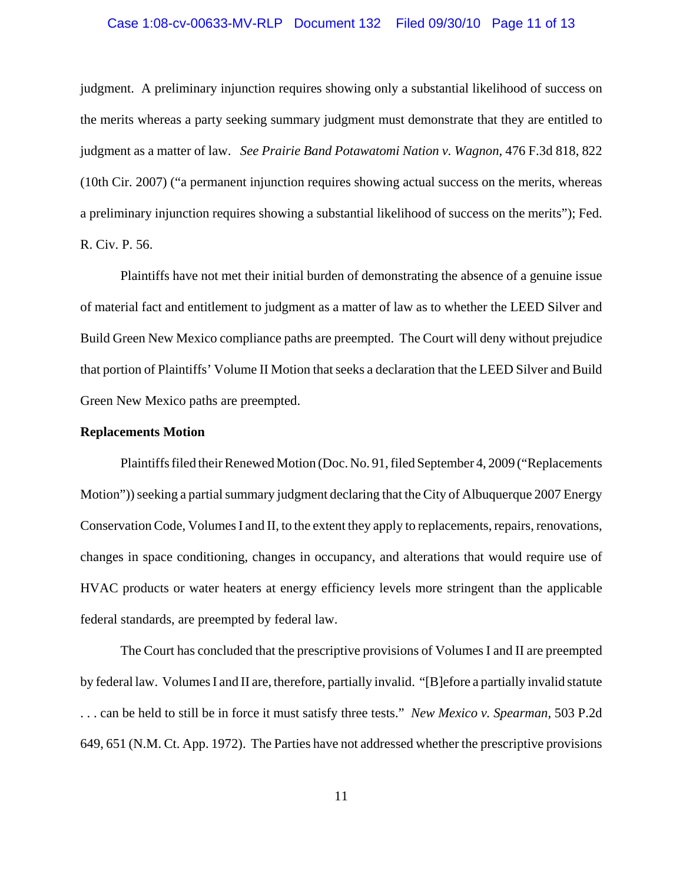## Case 1:08-cv-00633-MV-RLP Document 132 Filed 09/30/10 Page 11 of 13

judgment. A preliminary injunction requires showing only a substantial likelihood of success on the merits whereas a party seeking summary judgment must demonstrate that they are entitled to judgment as a matter of law. *See Prairie Band Potawatomi Nation v. Wagnon*, 476 F.3d 818, 822 (10th Cir. 2007) ("a permanent injunction requires showing actual success on the merits, whereas a preliminary injunction requires showing a substantial likelihood of success on the merits"); Fed. R. Civ. P. 56.

Plaintiffs have not met their initial burden of demonstrating the absence of a genuine issue of material fact and entitlement to judgment as a matter of law as to whether the LEED Silver and Build Green New Mexico compliance paths are preempted. The Court will deny without prejudice that portion of Plaintiffs' Volume II Motion that seeks a declaration that the LEED Silver and Build Green New Mexico paths are preempted.

## **Replacements Motion**

Plaintiffs filed their Renewed Motion (Doc. No. 91, filed September 4, 2009 ("Replacements Motion")) seeking a partial summary judgment declaring that the City of Albuquerque 2007 Energy Conservation Code, Volumes I and II, to the extent they apply to replacements, repairs, renovations, changes in space conditioning, changes in occupancy, and alterations that would require use of HVAC products or water heaters at energy efficiency levels more stringent than the applicable federal standards, are preempted by federal law.

The Court has concluded that the prescriptive provisions of Volumes I and II are preempted by federal law. Volumes I and II are, therefore, partially invalid. "[B]efore a partially invalid statute . . . can be held to still be in force it must satisfy three tests." *New Mexico v. Spearman*, 503 P.2d 649, 651 (N.M. Ct. App. 1972). The Parties have not addressed whether the prescriptive provisions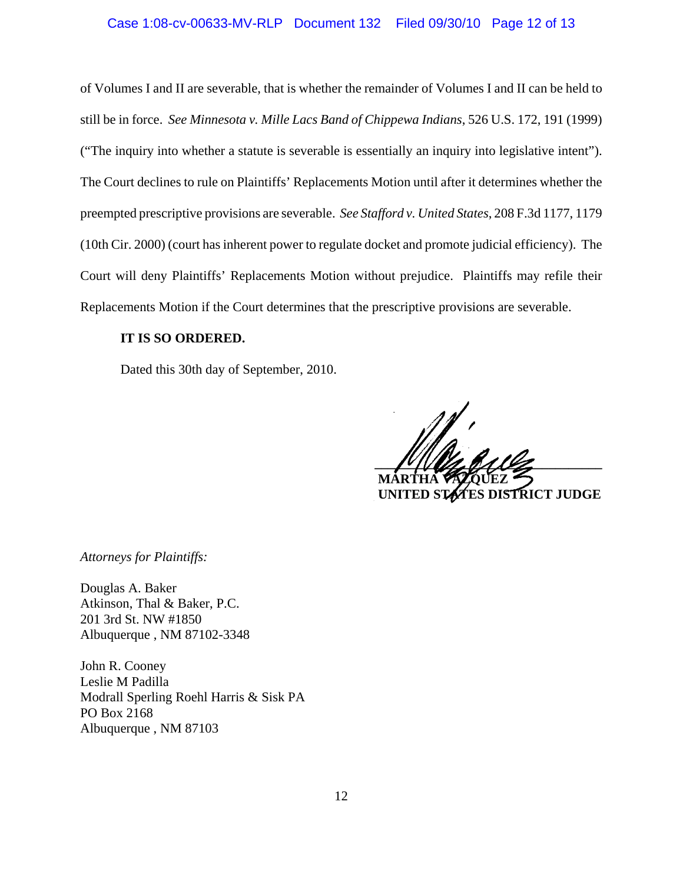## Case 1:08-cv-00633-MV-RLP Document 132 Filed 09/30/10 Page 12 of 13

of Volumes I and II are severable, that is whether the remainder of Volumes I and II can be held to still be in force. *See Minnesota v. Mille Lacs Band of Chippewa Indians*, 526 U.S. 172, 191 (1999) ("The inquiry into whether a statute is severable is essentially an inquiry into legislative intent"). The Court declines to rule on Plaintiffs' Replacements Motion until after it determines whether the preempted prescriptive provisions are severable. *See Stafford v. United States*, 208 F.3d 1177, 1179 (10th Cir. 2000) (court has inherent power to regulate docket and promote judicial efficiency). The Court will deny Plaintiffs' Replacements Motion without prejudice. Plaintiffs may refile their Replacements Motion if the Court determines that the prescriptive provisions are severable.

## **IT IS SO ORDERED.**

Dated this 30th day of September, 2010.

 $\frac{1}{2}$  **MARTHA VÁZQUEZ**

 **UNITED STATES DISTRICT JUDGE**

*Attorneys for Plaintiffs:*

Douglas A. Baker Atkinson, Thal & Baker, P.C. 201 3rd St. NW #1850 Albuquerque , NM 87102-3348

John R. Cooney Leslie M Padilla Modrall Sperling Roehl Harris & Sisk PA PO Box 2168 Albuquerque , NM 87103